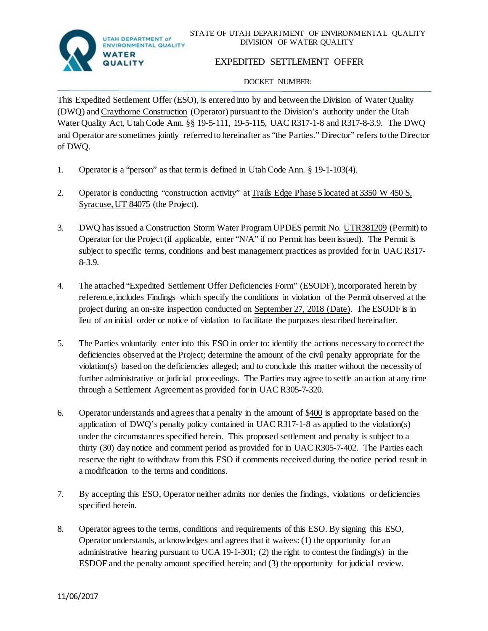

# EXPEDITED SETTLEMENT OFFER

### DOCKET NUMBER:

This Expedited Settlement Offer (ESO), is entered into by and between the Division of Water Quality (DWQ) and Craythorne Construction (Operator) pursuant to the Division's authority under the Utah Water Quality Act, Utah Code Ann. §§ 19-5-111, 19-5-115, UAC R317-1-8 and R317-8-3.9. The DWQ and Operator are sometimes jointly referred to hereinafter as "the Parties." Director" refers to the Director of DWQ.

- 1. Operator is a "person" as that term is defined in Utah Code Ann. § 19-1-103(4).
- 2. Operator is conducting "construction activity" at Trails Edge Phase 5 located at 3350 W 450 S, Syracuse, UT 84075 (the Project).
- 3. DWQ has issued a Construction Storm Water Program UPDES permit No. UTR381209 (Permit) to Operator for the Project (if applicable, enter "N/A" if no Permit has been issued). The Permit is subject to specific terms, conditions and best management practices as provided for in UAC R317- 8-3.9.
- 4. The attached "Expedited Settlement Offer Deficiencies Form" (ESODF), incorporated herein by reference,includes Findings which specify the conditions in violation of the Permit observed at the project during an on-site inspection conducted on September 27, 2018 (Date). The ESODF is in lieu of an initial order or notice of violation to facilitate the purposes described hereinafter.
- 5. The Parties voluntarily enter into this ESO in order to: identify the actions necessary to correct the deficiencies observed at the Project; determine the amount of the civil penalty appropriate for the violation(s) based on the deficiencies alleged; and to conclude this matter without the necessity of further administrative or judicial proceedings. The Parties may agree to settle an action at any time through a Settlement Agreement as provided for in UAC R305-7-320.
- 6. Operator understands and agrees that a penalty in the amount of \$400 is appropriate based on the application of DWQ's penalty policy contained in UAC R317-1-8 as applied to the violation(s) under the circumstances specified herein. This proposed settlement and penalty is subject to a thirty (30) day notice and comment period as provided for in UAC R305-7-402. The Parties each reserve the right to withdraw from this ESO if comments received during the notice period result in a modification to the terms and conditions.
- 7. By accepting this ESO, Operator neither admits nor denies the findings, violations or deficiencies specified herein.
- 8. Operator agrees to the terms, conditions and requirements of this ESO. By signing this ESO, Operator understands, acknowledges and agrees that it waives: (1) the opportunity for an administrative hearing pursuant to UCA 19-1-301; (2) the right to contest the finding(s) in the ESDOF and the penalty amount specified herein; and (3) the opportunity for judicial review.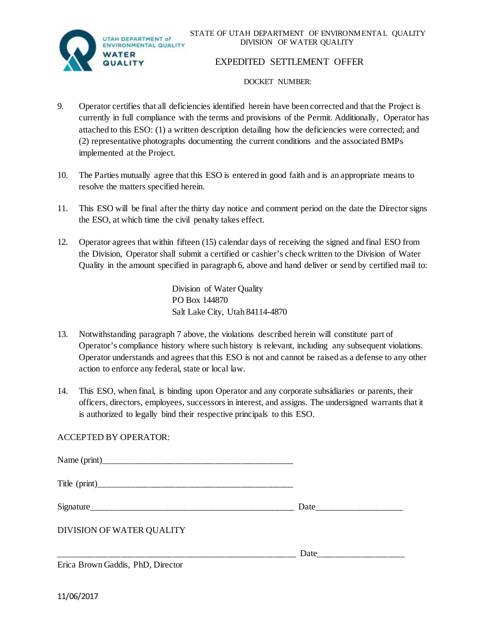STATE OF UTAH DEPARTMENT OF ENVIRONMENTAL QUALITY DIVISION OF WATER QUALITY



## EXPEDITED SETTLEMENT OFFER

#### DOCKET NUMBER:

- 9. Operator certifies that all deficiencies identified herein have been corrected and that the Project is currently in full compliance with the terms and provisions of the Permit. Additionally, Operator has attached to this ESO: (1) a written description detailing how the deficiencies were corrected; and (2) representative photographs documenting the current conditions and the associated BMPs implemented at the Project.
- 10. The Parties mutually agree that this ESO is entered in good faith and is an appropriate means to resolve the matters specified herein.
- 11. This ESO will be final after the thirty day notice and comment period on the date the Director signs the ESO, at which time the civil penalty takes effect.
- 12. Operator agrees that within fifteen (15) calendar days of receiving the signed and final ESO from the Division, Operator shall submit a certified or cashier's check written to the Division of Water Quality in the amount specified in paragraph 6, above and hand deliver or send by certified mail to:

Division of Water Quality PO Box 144870 Salt Lake City, Utah 84114-4870

- 13. Notwithstanding paragraph 7 above, the violations described herein will constitute part of Operator's compliance history where such history is relevant, including any subsequent violations. Operator understands and agrees that this ESO is not and cannot be raised as a defense to any other action to enforce any federal, state or local law.
- 14. This ESO, when final, is binding upon Operator and any corporate subsidiaries or parents, their officers, directors, employees, successors in interest, and assigns. The undersigned warrants that it is authorized to legally bind their respective principals to this ESO.

## ACCEPTED BY OPERATOR:

Name (print)

Title (print)

 $Signature$  and  $Date$  and  $Date$  and  $Date$  and  $Date$  and  $Date$  and  $Date$  and  $Date$  and  $Date$  and  $Date$  and  $Date$  and  $Date$  and  $Date$  and  $Date$  and  $Date$  and  $Date$  and  $Date$  and  $Date$  and  $Date$  and  $Date$  and  $Date$  and  $Date$  and  $Date$  and  $Date$  and  $Date$ 

\_\_\_\_\_\_\_\_\_\_\_\_\_\_\_\_\_\_\_\_\_\_\_\_\_\_\_\_\_\_\_\_\_\_\_\_\_\_\_\_\_\_\_\_\_\_\_\_\_\_\_\_\_\_ Date\_\_\_\_\_\_\_\_\_\_\_\_\_\_\_\_\_\_\_\_

DIVISION OF WATER QUALITY

Erica Brown Gaddis, PhD, Director

11/06/2017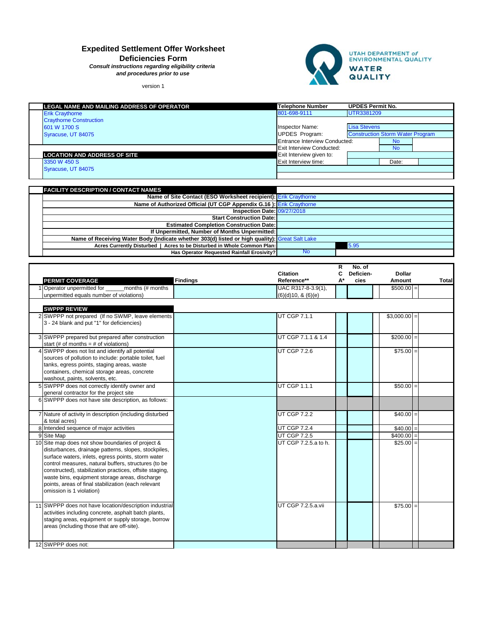# **Expedited Settlement Offer Worksheet**

**Deficiencies Form**

*Consult instructions regarding eligibility criteria and procedures prior to use*

version 1



| LEGAL NAME AND MAILING ADDRESS OF OPERATOR | <b>Telephone Number</b>       | <b>UPDES Permit No.</b>                 |           |  |  |
|--------------------------------------------|-------------------------------|-----------------------------------------|-----------|--|--|
| <b>Erik Craythorne</b>                     | 801-698-9111                  | UTR3381209                              |           |  |  |
| <b>Craythorne Construction</b>             |                               |                                         |           |  |  |
| 601 W 1700 S                               | Inspector Name:               | <b>Lisa Stevens</b>                     |           |  |  |
| Syracuse, UT 84075                         | <b>UPDES</b> Program:         | <b>Construction Storm Water Program</b> |           |  |  |
|                                            | Entrance Interview Conducted: |                                         | <b>No</b> |  |  |
|                                            | Exit Interview Conducted:     |                                         | <b>No</b> |  |  |
| <b>LOCATION AND ADDRESS OF SITE</b>        | Exit Interview given to:      |                                         |           |  |  |
| 3350 W 450 S                               | Exit Interview time:          |                                         | Date:     |  |  |
| Syracuse, UT 84075                         |                               |                                         |           |  |  |
|                                            |                               |                                         |           |  |  |

| <b>FACILITY DESCRIPTION / CONTACT NAMES</b>                                                    |           |      |
|------------------------------------------------------------------------------------------------|-----------|------|
| Name of Site Contact (ESO Worksheet recipient): Erik Craythorne                                |           |      |
| Name of Authorized Official (UT CGP Appendix G.16): Erik Craythorne                            |           |      |
| Inspection Date: 09/27/2018                                                                    |           |      |
| <b>Start Construction Date:</b>                                                                |           |      |
| <b>Estimated Completion Construction Date:</b>                                                 |           |      |
| If Unpermitted, Number of Months Unpermitted:                                                  |           |      |
| Name of Receiving Water Body (Indicate whether 303(d) listed or high quality): Great Salt Lake |           |      |
| Acres Currently Disturbed   Acres to be Disturbed in Whole Common Plan:                        |           | 5.95 |
| Has Operator Requested Rainfall Erosivity?                                                     | <b>No</b> |      |

|                                                          |                 |                      | R  | No. of    |               |              |
|----------------------------------------------------------|-----------------|----------------------|----|-----------|---------------|--------------|
|                                                          |                 | <b>Citation</b>      | C  | Deficien- | <b>Dollar</b> |              |
| <b>PERMIT COVERAGE</b>                                   | <b>Findings</b> | Reference**          | А* | cies      | Amount        | <b>Total</b> |
| 1 Operator unpermitted for<br>months (# months           |                 | UAC R317-8-3.9(1),   |    |           | $$500.00 =$   |              |
| unpermitted equals number of violations)                 |                 | (6)(d)10, 8(6)(e)    |    |           |               |              |
|                                                          |                 |                      |    |           |               |              |
| <b>SWPPP REVIEW</b>                                      |                 |                      |    |           |               |              |
| 2 SWPPP not prepared (If no SWMP, leave elements         |                 | <b>UT CGP 7.1.1</b>  |    |           | $$3,000.00 =$ |              |
| 3 - 24 blank and put "1" for deficiencies)               |                 |                      |    |           |               |              |
|                                                          |                 |                      |    |           |               |              |
| 3 SWPPP prepared but prepared after construction         |                 | UT CGP 7.1.1 & 1.4   |    |           | $$200.00 =$   |              |
| start (# of months = $#$ of violations)                  |                 |                      |    |           |               |              |
| 4 SWPPP does not list and identify all potential         |                 | <b>UT CGP 7.2.6</b>  |    |           | $$75.00 =$    |              |
| sources of pollution to include: portable toilet, fuel   |                 |                      |    |           |               |              |
| tanks, egress points, staging areas, waste               |                 |                      |    |           |               |              |
| containers, chemical storage areas, concrete             |                 |                      |    |           |               |              |
| washout, paints, solvents, etc.                          |                 |                      |    |           |               |              |
| 5 SWPPP does not correctly identify owner and            |                 | <b>UT CGP 1.1.1</b>  |    |           | $$50.00 =$    |              |
| general contractor for the project site                  |                 |                      |    |           |               |              |
| 6 SWPPP does not have site description, as follows:      |                 |                      |    |           |               |              |
|                                                          |                 |                      |    |           |               |              |
| 7 Nature of activity in description (including disturbed |                 | <b>UT CGP 7.2.2</b>  |    |           | $$40.00 =$    |              |
| & total acres)                                           |                 |                      |    |           |               |              |
| 8 Intended sequence of major activities                  |                 | <b>UT CGP 7.2.4</b>  |    |           | $$40.00 =$    |              |
| 9 Site Map                                               |                 | <b>UT CGP 7.2.5</b>  |    |           | $$400.00 =$   |              |
| 10 Site map does not show boundaries of project &        |                 | UT CGP 7.2.5.a to h. |    |           | $$25.00 =$    |              |
| disturbances, drainage patterns, slopes, stockpiles,     |                 |                      |    |           |               |              |
| surface waters, inlets, egress points, storm water       |                 |                      |    |           |               |              |
| control measures, natural buffers, structures (to be     |                 |                      |    |           |               |              |
| constructed), stabilization practices, offsite staging,  |                 |                      |    |           |               |              |
| waste bins, equipment storage areas, discharge           |                 |                      |    |           |               |              |
| points, areas of final stabilization (each relevant      |                 |                      |    |           |               |              |
| omission is 1 violation)                                 |                 |                      |    |           |               |              |
|                                                          |                 |                      |    |           |               |              |
| 11 SWPPP does not have location/description industrial   |                 | UT CGP 7.2.5.a.vii   |    |           | $$75.00 =$    |              |
| activities including concrete, asphalt batch plants,     |                 |                      |    |           |               |              |
| staging areas, equipment or supply storage, borrow       |                 |                      |    |           |               |              |
| areas (including those that are off-site).               |                 |                      |    |           |               |              |
|                                                          |                 |                      |    |           |               |              |
| 12 SWPPP does not:                                       |                 |                      |    |           |               |              |
|                                                          |                 |                      |    |           |               |              |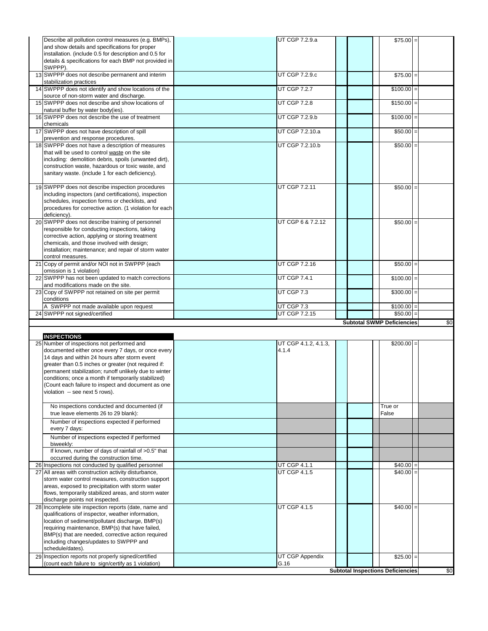| Describe all pollution control measures (e.g. BMPs),                                                          | UT CGP 7.2.9.a<br>$$75.00 =$          |     |
|---------------------------------------------------------------------------------------------------------------|---------------------------------------|-----|
| and show details and specifications for proper                                                                |                                       |     |
| installation. (include 0.5 for description and 0.5 for                                                        |                                       |     |
| details & specifications for each BMP not provided in                                                         |                                       |     |
| SWPPP).                                                                                                       |                                       |     |
| 13 SWPPP does not describe permanent and interim                                                              | UT CGP 7.2.9.c<br>$$75.00 =$          |     |
| stabilization practices                                                                                       |                                       |     |
| 14 SWPPP does not identify and show locations of the<br>source of non-storm water and discharge.              | UT CGP 7.2.7<br>$$100.00 =$           |     |
| 15 SWPPP does not describe and show locations of                                                              | UT CGP 7.2.8<br>$$150.00 =$           |     |
| natural buffer by water body(ies).                                                                            |                                       |     |
| 16 SWPPP does not describe the use of treatment                                                               | UT CGP 7.2.9.b<br>$$100.00 =$         |     |
| chemicals                                                                                                     |                                       |     |
| 17 SWPPP does not have description of spill                                                                   | UT CGP 7.2.10.a<br>$$50.00 =$         |     |
| prevention and response procedures.                                                                           |                                       |     |
| 18 SWPPP does not have a description of measures                                                              | UT CGP 7.2.10.b<br>$$50.00 =$         |     |
| that will be used to control waste on the site<br>including: demolition debris, spoils (unwanted dirt),       |                                       |     |
| construction waste, hazardous or toxic waste, and                                                             |                                       |     |
| sanitary waste. (include 1 for each deficiency).                                                              |                                       |     |
|                                                                                                               |                                       |     |
| 19 SWPPP does not describe inspection procedures                                                              | UT CGP 7.2.11<br>$$50.00 =$           |     |
| including inspectors (and certifications), inspection                                                         |                                       |     |
| schedules, inspection forms or checklists, and<br>procedures for corrective action. (1 violation for each     |                                       |     |
| deficiency).                                                                                                  |                                       |     |
| 20 SWPPP does not describe training of personnel                                                              | UT CGP 6 & 7.2.12<br>$$50.00 =$       |     |
| responsible for conducting inspections, taking                                                                |                                       |     |
| corrective action, applying or storing treatment                                                              |                                       |     |
| chemicals, and those involved with design;                                                                    |                                       |     |
| installation; maintenance; and repair of storm water                                                          |                                       |     |
| control measures.<br>21 Copy of permit and/or NOI not in SWPPP (each                                          | UT CGP 7.2.16<br>$$50.00 =$           |     |
| omission is 1 violation)                                                                                      |                                       |     |
| 22 SWPPP has not been updated to match corrections                                                            | UT CGP 7.4.1<br>$$100.00 =$           |     |
| and modifications made on the site.                                                                           |                                       |     |
| 23 Copy of SWPPP not retained on site per permit<br>conditions                                                | UT CGP 7.3<br>$$300.00 =$             |     |
|                                                                                                               |                                       |     |
|                                                                                                               |                                       |     |
| A SWPPP not made available upon request                                                                       | UT CGP 7.3<br>\$100.00                |     |
| 24 SWPPP not signed/certified                                                                                 | UT CGP 7.2.15<br>$$50.00 =$           |     |
|                                                                                                               | <b>Subtotal SWMP Deficiencies</b>     | \$0 |
| <b>INSPECTIONS</b>                                                                                            |                                       |     |
| 25 Number of inspections not performed and                                                                    | UT CGP 4.1.2, 4.1.3,<br>$$200.00 =$   |     |
| documented either once every 7 days, or once every                                                            | 4.1.4                                 |     |
| 14 days and within 24 hours after storm event                                                                 |                                       |     |
| greater than 0.5 inches or greater (not required if:                                                          |                                       |     |
| permanent stabilization; runoff unlikely due to winter<br>conditions; once a month if temporarily stabilized) |                                       |     |
| (Count each failure to inspect and document as one                                                            |                                       |     |
| violation -- see next 5 rows).                                                                                |                                       |     |
|                                                                                                               |                                       |     |
| No inspections conducted and documented (if                                                                   | True or                               |     |
| true leave elements 26 to 29 blank):                                                                          | False                                 |     |
| Number of inspections expected if performed<br>every 7 days:                                                  |                                       |     |
| Number of inspections expected if performed                                                                   |                                       |     |
| biweekly:                                                                                                     |                                       |     |
| If known, number of days of rainfall of >0.5" that                                                            |                                       |     |
| occurred during the construction time.                                                                        |                                       |     |
| 26 Inspections not conducted by qualified personnel                                                           | UT CGP 4.1.1<br>\$40.00               |     |
| 27 All areas with construction activity disturbance,<br>storm water control measures, construction support    | UT CGP 4.1.5<br>\$40.00               |     |
| areas, exposed to precipitation with storm water                                                              |                                       |     |
| flows, temporarily stabilized areas, and storm water                                                          |                                       |     |
| discharge points not inspected.                                                                               |                                       |     |
| 28 Incomplete site inspection reports (date, name and                                                         | UT CGP 4.1.5<br>$$40.00 =$            |     |
| qualifications of inspector, weather information,<br>location of sediment/pollutant discharge, BMP(s)         |                                       |     |
| requiring maintenance, BMP(s) that have failed,                                                               |                                       |     |
| BMP(s) that are needed, corrective action required                                                            |                                       |     |
| including changes/updates to SWPPP and                                                                        |                                       |     |
| schedule/dates).                                                                                              |                                       |     |
| 29 Inspection reports not properly signed/certified<br>(count each failure to sign/certify as 1 violation)    | UT CGP Appendix<br>$$25.00 =$<br>G.16 |     |